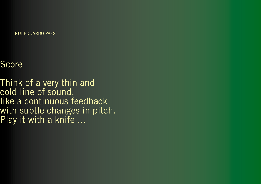RUI EDUARDO PAES

**Score** 

Think of a very thin and cold line of sound, like a continuous feedback with subtle changes in pitch. Play it with a knife ...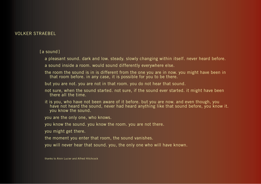## VOLKER STRAEBEL

[a sound]

a pleasant sound. dark and low. steady. slowly changing within itself. never heard before.

a sound inside a room. would sound differently everywhere else.

the room the sound is in is different from the one you are in now. you might have been in that room before. in any case, it is possible for you to be there.

but you are not. you are not in that room. you do not hear that sound.

not sure, when the sound started. not sure, if the sound ever started. it might have been there all the time.

it is you, who have not been aware of it before. but you are now. and even though, you have not heard the sound, never had heard anything like that sound before, you know it. you know the sound.

you are the only one, who knows.

you know the sound. you know the room. you are not there.

you might get there.

the moment you enter that room, the sound vanishes.

you will never hear that sound. you, the only one who will have known.

thanks to Alvin Lucier and Alfred Hitchcock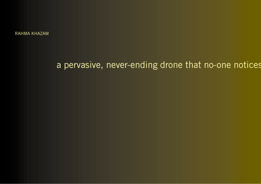RAHMA KHAZAM

## a pervasive, never-ending drone that no-one notices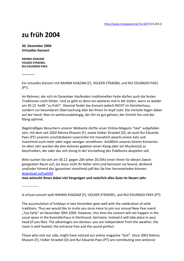## **zu früh 2004**

**30. Dezember 2004 Virtuelles Konzert**

**RAHMA KHAZAM VOLKER STRAEBEL RUI EDUARDO PAES**

**————–**

Ein virtuelles Konzert mit RAHMA KHAZAM (F), VOLKER STRAEBEL und RUI EDURADO PAES (PT).

Im Rahmen, der sich im Dezember häufenden traditionellen Feste dürfen auch die festen Traditionen nicht fehlen. Und so geht es denn ein weiteres mal in die Vollen, wenn es wieder am 30.12. heißt "zu früh!". Diesmal findet das Konzert jedoch NICHT im Künstlerhaus, sondern zur besonderen Überraschung aller bei Ihnen im Kopf statt. Die Vorteile liegen dabei auf der Hand: Man ist wetterunabhängig, der Ort ist gut geheizt, der Eintritt frei und der Klang optimal.

Regelmäßigen Besuchern unserer Webseite dürfte unser Online-Magazin "text" aufgefallen sein, mit dem seit 2002 Rahma Khazam (F), sowie Volker Straebel (D), als auch Rui Eduardo Paes (PT) unseren unschätzbaren Leserzirkel mit monatlich jeweils einem Satz und manchmal auch mehr oder sogar weniger verwöhnen. Anläßlich unseres letzten Konzertes im alten Jahr wurden die drei Autoren gebeten einen Klang oder ein Musikstück zu beschreiben, der oder das sich einzig in der Vorstellung des Publikums abspielen soll.

Bitte suchen Sie sich am 30.12. gegen 20h (eher 20:20h) einen Ihnen für diesen Zweck geeigneten Raum auf, (es muss nicht Ihr Keller sein) und benutzen sie lesend, denkend und/oder hörend das (garantiert virenfreie) pdf das Sie hier herunterladen können: [download zufrueh04](http://www.mexappeal.de/?attachment_id=3059)

**mex wünscht Ihnen dabei viel Vergnügen und natürlich alles Gute im Neuen Jahr.**

——————

A virtual concert with RAHMA KHAZAM (F), VOLKER STRAEBEL, and RUI EDURADO PAES (PT).

The accumulation of holidays in late December goes well with the celebration of solid traditions. Thus we would like to invite you once more to join our annual New Year event "Too Early" on December 30th 2004. However, this time the concert will not happen in the usual space in the Kuenstlerhaus in Dortmund, Germany. Instead it will take place in your head (if you like). The advantages are obvious: you are independent from the weather, the room is well heated, the entrance free and the sound perfect.

Those who visit our side, might have noticed our online magazine "text". Since 2002 Rahma Khazam (F), Volker Straebel (D) and Rui Eduardo Paes (PT) are contributing one sentence